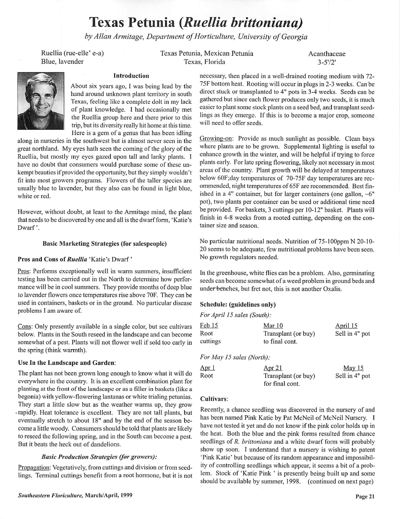# Texas Petunia **{Ruellia brittoniana)**

**byAllan Armitage, Department ofHorticulture, University ofGeorgia**

Ruellia (rue-elle' e-a) Blue, lavender

Texas Petunia, Mexican Petunia Texas, Florida

Acanthaceae  $3 - 5'/2'$ 



## Introduction

About six years ago, I was being lead by the hand around unknown plant territory in south Texas, feeling like a complete dolt in my lack of plant knowledge. I had occasionally met the Ruellia group here and there prior to this trip, but its diversity really hit home at this time. Here is a gem of a genus that has been idling

along in nurseries in the southwest but is almost never seen in the great northland. My eyes hath seen the coming of the glory of the Ruellia, but mostly my eyes gazed upon tall and lanky plants. I have no doubt that consumers would purchase some of these un kempt beauties if provided the opportunity, but they simply wouldn't fit into most growers programs. Flowers of the taller species are usually blue to lavender, but they also can be found in light blue, white or red.

However, without doubt, at least to the Armitage mind, the plant that needs to be discovered by one and all is the dwarf form, 'Katie's Dwarf'.

### Basic Marketing Strategies (for salespeople)

#### Pros and Cons **of Ruellia** 'Katie's Dwarf'

Pros: Performs exceptionally well in warm summers, insufficient testing has been carried out in the North to determine how perfor mance will be in cool summers. They provide months of deep blue to lavender flowers once temperatures rise above 70F. They can be used in containers, baskets or in the ground. No particular disease problems I am aware of.

Cons: Only presently available in a single color, but see cultivars below. Plants in the South reseed in the landscape and can become somewhat of a pest. Plants will not flower well if sold too early in the spring (think warmth).

#### Use In the Landscape and Garden:

The plant has not been grown long enough to know what it will do everywhere in the country. It is an excellent combination plant for planting at the front of the landscape or as a filler in baskets (like a begonia) with yellow-flowering lantanas or white trialing petunias. They start a little slow but as the weather warms up, they grow ^rapidly Heat tolerance is excellent. They are not tall plants, but eventually stretch to about 18" and by the end of the season be come a little woody. Consumers should be told that plants are likely to reseed the following spring, and in the South can become a pest. But it beats the heck out of dandelions.

## **Basic Production Strategies (for growers):**

Propagation: Vegetatively, from cuttings and division or from seed lings. Terminal cuttings benefit from a root hormone, but it is not

necessary, then placed in a well-drained rooting medium with 72- 75F bottom heat. Rooting will occur in plugs in 2-3 weeks. Can be direct stuck or transplanted to 4" pots in 3-4 weeks. Seeds can be gathered but since each flower produces only two seeds, it is much easier to plant some stock plants on a seed bed, and transplant seed lings as they emerge. If this is to become a major crop, someone will need to offer seeds.

Growing-on: Provide as much sunlight as possible. Clean bays where plants are to be grown. Supplemental lighting is useful to enhance growth in the winter, and will be helpful if trying to force plants early. For late spring flowering, likely not necessary in most areas of the country. Plant growth will be delayed at temperatures below 60F;day temperatures of 70-75F day temperatures are rec ommended, night temperatures of 65F are recommended. Best finished in a 4" container, but for larger containers (one gallon,  $\sim 6"$ pot), two plants per container can be used or additional time need be provided. For baskets, 3 cuttings per 10-12" basket. Plants will finish in 4-8 weeks from a rooted cutting, depending on the con tainer size and season.

No particular nutritional needs. Nutrition of 75-100ppm N 20-10- 20 seems to be adequate, few nutritional problems have been seen. No growth regulators needed.

In the greenhouse, white flies can be a problem. Also, germinating seeds can become somewhat of a weed problem in ground beds and under benches, but fret not, this is not another Oxalis.

## Schedule: (guidelines only)

| For April 15 sales (South): |  |  |  |  |  |
|-----------------------------|--|--|--|--|--|
|-----------------------------|--|--|--|--|--|

| Feb 15                    | Mar 10              | April 15       |
|---------------------------|---------------------|----------------|
| Root                      | Transplant (or buy) | Sell in 4" pot |
| cuttings                  | to final cont.      |                |
| For May 15 sales (North): |                     |                |
| Apr <sub>1</sub>          | <u>Apr 21</u>       | May $15$       |
| Root                      | Transplant (or buy) | Sell in 4" pot |
|                           | for final cont.     |                |

#### Cultivars:

Recently, a chance seedling was discovered in the nursery of and has been named Pink Katie by Pat McNeil of McNeil Nursery. I have not tested it yet and do not know if the pink color holds up in the heat. Both the blue and the pink forms resulted from chance seedlings of **R. brittoniana** and a white dwarf form will probably show up soon. I understand that a nursery is wishing to patent 'Pink Katie' but because of its random appearance and impossibil ity of controlling seedlings which appear, it seems a bit of a prob lem. Stock of 'Katie Pink ' is presently being built up and some should be available by summer, 1998. (continued on next page)